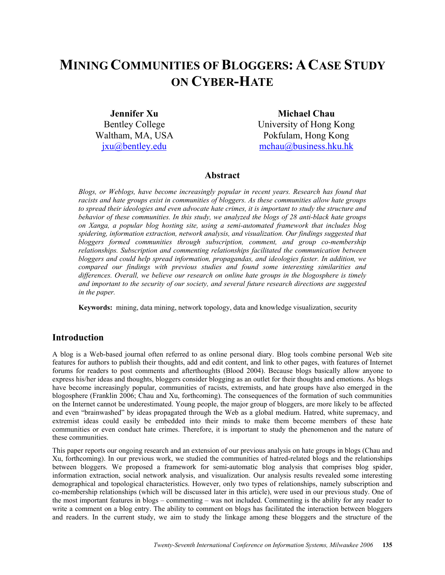# **MINING COMMUNITIES OF BLOGGERS: A CASE STUDY ON CYBER-HATE**

**Jennifer Xu**  Bentley College Waltham, MA, USA jxu@bentley.edu

**Michael Chau**  University of Hong Kong Pokfulam, Hong Kong mchau@business.hku.hk

# **Abstract**

*Blogs, or Weblogs, have become increasingly popular in recent years. Research has found that racists and hate groups exist in communities of bloggers. As these communities allow hate groups to spread their ideologies and even advocate hate crimes, it is important to study the structure and behavior of these communities. In this study, we analyzed the blogs of 28 anti-black hate groups on Xanga, a popular blog hosting site, using a semi-automated framework that includes blog spidering, information extraction, network analysis, and visualization. Our findings suggested that bloggers formed communities through subscription, comment, and group co-membership relationships. Subscription and commenting relationships facilitated the communication between bloggers and could help spread information, propagandas, and ideologies faster. In addition, we compared our findings with previous studies and found some interesting similarities and differences. Overall, we believe our research on online hate groups in the blogosphere is timely and important to the security of our society, and several future research directions are suggested in the paper.* 

**Keywords:** mining, data mining, network topology, data and knowledge visualization, security

## **Introduction**

A blog is a Web-based journal often referred to as online personal diary. Blog tools combine personal Web site features for authors to publish their thoughts, add and edit content, and link to other pages, with features of Internet forums for readers to post comments and afterthoughts (Blood 2004). Because blogs basically allow anyone to express his/her ideas and thoughts, bloggers consider blogging as an outlet for their thoughts and emotions. As blogs have become increasingly popular, communities of racists, extremists, and hate groups have also emerged in the blogosphere (Franklin 2006; Chau and Xu, forthcoming). The consequences of the formation of such communities on the Internet cannot be underestimated. Young people, the major group of bloggers, are more likely to be affected and even "brainwashed" by ideas propagated through the Web as a global medium. Hatred, white supremacy, and extremist ideas could easily be embedded into their minds to make them become members of these hate communities or even conduct hate crimes. Therefore, it is important to study the phenomenon and the nature of these communities.

This paper reports our ongoing research and an extension of our previous analysis on hate groups in blogs (Chau and Xu, forthcoming). In our previous work, we studied the communities of hatred-related blogs and the relationships between bloggers. We proposed a framework for semi-automatic blog analysis that comprises blog spider, information extraction, social network analysis, and visualization. Our analysis results revealed some interesting demographical and topological characteristics. However, only two types of relationships, namely subscription and co-membership relationships (which will be discussed later in this article), were used in our previous study. One of the most important features in blogs – commenting – was not included. Commenting is the ability for any reader to write a comment on a blog entry. The ability to comment on blogs has facilitated the interaction between bloggers and readers. In the current study, we aim to study the linkage among these bloggers and the structure of the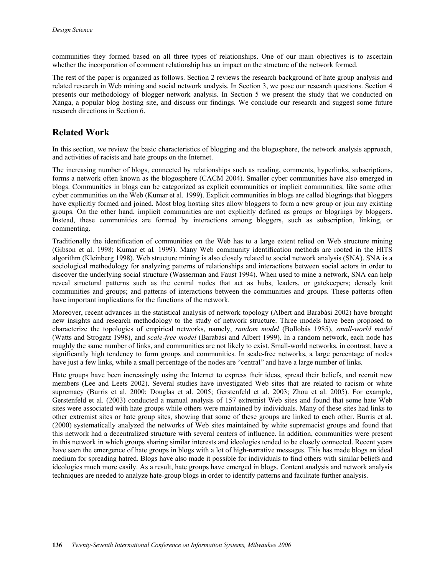communities they formed based on all three types of relationships. One of our main objectives is to ascertain whether the incorporation of comment relationship has an impact on the structure of the network formed.

The rest of the paper is organized as follows. Section 2 reviews the research background of hate group analysis and related research in Web mining and social network analysis. In Section 3, we pose our research questions. Section 4 presents our methodology of blogger network analysis. In Section 5 we present the study that we conducted on Xanga, a popular blog hosting site, and discuss our findings. We conclude our research and suggest some future research directions in Section 6.

# **Related Work**

In this section, we review the basic characteristics of blogging and the blogosphere, the network analysis approach, and activities of racists and hate groups on the Internet.

The increasing number of blogs, connected by relationships such as reading, comments, hyperlinks, subscriptions, forms a network often known as the blogosphere (CACM 2004). Smaller cyber communities have also emerged in blogs. Communities in blogs can be categorized as explicit communities or implicit communities, like some other cyber communities on the Web (Kumar et al. 1999). Explicit communities in blogs are called blogrings that bloggers have explicitly formed and joined. Most blog hosting sites allow bloggers to form a new group or join any existing groups. On the other hand, implicit communities are not explicitly defined as groups or blogrings by bloggers. Instead, these communities are formed by interactions among bloggers, such as subscription, linking, or commenting.

Traditionally the identification of communities on the Web has to a large extent relied on Web structure mining (Gibson et al. 1998; Kumar et al*.* 1999). Many Web community identification methods are rooted in the HITS algorithm (Kleinberg 1998). Web structure mining is also closely related to social network analysis (SNA). SNA is a sociological methodology for analyzing patterns of relationships and interactions between social actors in order to discover the underlying social structure (Wasserman and Faust 1994). When used to mine a network, SNA can help reveal structural patterns such as the central nodes that act as hubs, leaders, or gatekeepers; densely knit communities and groups; and patterns of interactions between the communities and groups. These patterns often have important implications for the functions of the network.

Moreover, recent advances in the statistical analysis of network topology (Albert and Barabási 2002) have brought new insights and research methodology to the study of network structure. Three models have been proposed to characterize the topologies of empirical networks, namely, *random model* (Bollobás 1985), *small-world model*  (Watts and Strogatz 1998), and *scale-free model* (Barabási and Albert 1999). In a random network, each node has roughly the same number of links, and communities are not likely to exist. Small-world networks, in contrast, have a significantly high tendency to form groups and communities. In scale-free networks, a large percentage of nodes have just a few links, while a small percentage of the nodes are "central" and have a large number of links.

Hate groups have been increasingly using the Internet to express their ideas, spread their beliefs, and recruit new members (Lee and Leets 2002). Several studies have investigated Web sites that are related to racism or white supremacy (Burris et al*.* 2000; Douglas et al. 2005; Gerstenfeld et al. 2003; Zhou et al. 2005). For example, Gerstenfeld et al. (2003) conducted a manual analysis of 157 extremist Web sites and found that some hate Web sites were associated with hate groups while others were maintained by individuals. Many of these sites had links to other extremist sites or hate group sites, showing that some of these groups are linked to each other. Burris et al. (2000) systematically analyzed the networks of Web sites maintained by white supremacist groups and found that this network had a decentralized structure with several centers of influence. In addition, communities were present in this network in which groups sharing similar interests and ideologies tended to be closely connected. Recent years have seen the emergence of hate groups in blogs with a lot of high-narrative messages. This has made blogs an ideal medium for spreading hatred. Blogs have also made it possible for individuals to find others with similar beliefs and ideologies much more easily. As a result, hate groups have emerged in blogs. Content analysis and network analysis techniques are needed to analyze hate-group blogs in order to identify patterns and facilitate further analysis.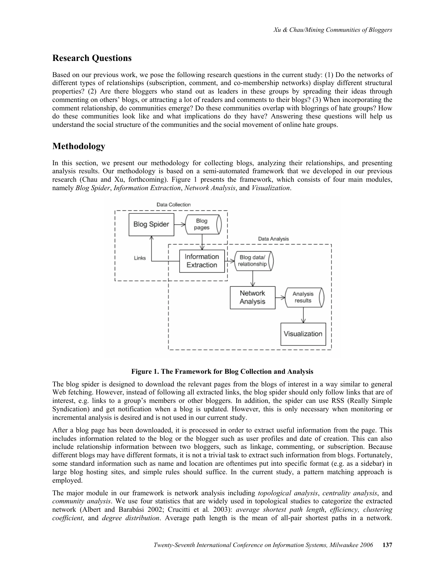# **Research Questions**

Based on our previous work, we pose the following research questions in the current study: (1) Do the networks of different types of relationships (subscription, comment, and co-membership networks) display different structural properties? (2) Are there bloggers who stand out as leaders in these groups by spreading their ideas through commenting on others' blogs, or attracting a lot of readers and comments to their blogs? (3) When incorporating the comment relationship, do communities emerge? Do these communities overlap with blogrings of hate groups? How do these communities look like and what implications do they have? Answering these questions will help us understand the social structure of the communities and the social movement of online hate groups.

# **Methodology**

In this section, we present our methodology for collecting blogs, analyzing their relationships, and presenting analysis results. Our methodology is based on a semi-automated framework that we developed in our previous research (Chau and Xu, forthcoming). Figure 1 presents the framework, which consists of four main modules, namely *Blog Spider*, *Information Extraction*, *Network Analysis*, and *Visualization*.



**Figure 1. The Framework for Blog Collection and Analysis** 

The blog spider is designed to download the relevant pages from the blogs of interest in a way similar to general Web fetching. However, instead of following all extracted links, the blog spider should only follow links that are of interest, e.g. links to a group's members or other bloggers. In addition, the spider can use RSS (Really Simple Syndication) and get notification when a blog is updated. However, this is only necessary when monitoring or incremental analysis is desired and is not used in our current study.

After a blog page has been downloaded, it is processed in order to extract useful information from the page. This includes information related to the blog or the blogger such as user profiles and date of creation. This can also include relationship information between two bloggers, such as linkage, commenting, or subscription. Because different blogs may have different formats, it is not a trivial task to extract such information from blogs. Fortunately, some standard information such as name and location are oftentimes put into specific format (e.g. as a sidebar) in large blog hosting sites, and simple rules should suffice. In the current study, a pattern matching approach is employed.

The major module in our framework is network analysis including *topological analysis*, *centrality analysis*, and *community analysis*. We use four statistics that are widely used in topological studies to categorize the extracted network (Albert and Barabási 2002; Crucitti et al*.* 2003): *average shortest path length*, *efficiency, clustering coefficient*, and *degree distribution*. Average path length is the mean of all-pair shortest paths in a network.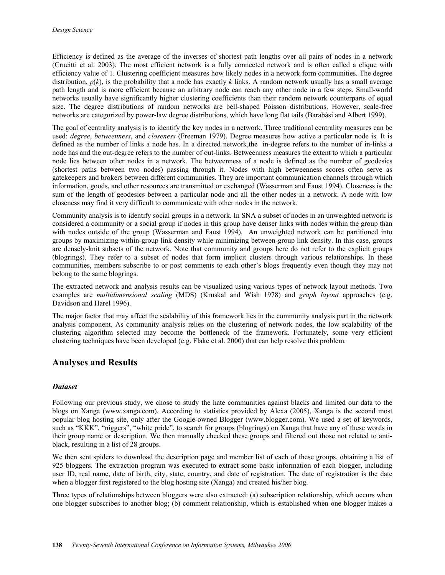Efficiency is defined as the average of the inverses of shortest path lengths over all pairs of nodes in a network (Crucitti et al. 2003). The most efficient network is a fully connected network and is often called a clique with efficiency value of 1. Clustering coefficient measures how likely nodes in a network form communities. The degree distribution,  $p(k)$ , is the probability that a node has exactly k links. A random network usually has a small average path length and is more efficient because an arbitrary node can reach any other node in a few steps. Small-world networks usually have significantly higher clustering coefficients than their random network counterparts of equal size. The degree distributions of random networks are bell-shaped Poisson distributions. However, scale-free networks are categorized by power-law degree distributions, which have long flat tails (Barabási and Albert 1999).

The goal of centrality analysis is to identify the key nodes in a network. Three traditional centrality measures can be used: *degree*, *betweenness*, and *closeness* (Freeman 1979). Degree measures how active a particular node is. It is defined as the number of links a node has. In a directed network,the in-degree refers to the number of in-links a node has and the out-degree refers to the number of out-links. Betweenness measures the extent to which a particular node lies between other nodes in a network. The betweenness of a node is defined as the number of geodesics (shortest paths between two nodes) passing through it. Nodes with high betweenness scores often serve as gatekeepers and brokers between different communities. They are important communication channels through which information, goods, and other resources are transmitted or exchanged (Wasserman and Faust 1994). Closeness is the sum of the length of geodesics between a particular node and all the other nodes in a network. A node with low closeness may find it very difficult to communicate with other nodes in the network.

Community analysis is to identify social groups in a network. In SNA a subset of nodes in an unweighted network is considered a community or a social group if nodes in this group have denser links with nodes within the group than with nodes outside of the group (Wasserman and Faust 1994). An unweighted network can be partitioned into groups by maximizing within-group link density while minimizing between-group link density. In this case, groups are densely-knit subsets of the network. Note that community and groups here do not refer to the explicit groups (blogrings). They refer to a subset of nodes that form implicit clusters through various relationships. In these communities, members subscribe to or post comments to each other's blogs frequently even though they may not belong to the same blogrings.

The extracted network and analysis results can be visualized using various types of network layout methods. Two examples are *multidimensional scaling* (MDS) (Kruskal and Wish 1978) and *graph layout* approaches (e.g. Davidson and Harel 1996).

The major factor that may affect the scalability of this framework lies in the community analysis part in the network analysis component. As community analysis relies on the clustering of network nodes, the low scalability of the clustering algorithm selected may become the bottleneck of the framework. Fortunately, some very efficient clustering techniques have been developed (e.g. Flake et al. 2000) that can help resolve this problem.

## **Analyses and Results**

## *Dataset*

Following our previous study, we chose to study the hate communities against blacks and limited our data to the blogs on Xanga (www.xanga.com). According to statistics provided by Alexa (2005), Xanga is the second most popular blog hosting site, only after the Google-owned Blogger (www.blogger.com). We used a set of keywords, such as "KKK", "niggers", "white pride", to search for groups (blogrings) on Xanga that have any of these words in their group name or description. We then manually checked these groups and filtered out those not related to antiblack, resulting in a list of 28 groups.

We then sent spiders to download the description page and member list of each of these groups, obtaining a list of 925 bloggers. The extraction program was executed to extract some basic information of each blogger, including user ID, real name, date of birth, city, state, country, and date of registration. The date of registration is the date when a blogger first registered to the blog hosting site (Xanga) and created his/her blog.

Three types of relationships between bloggers were also extracted: (a) subscription relationship, which occurs when one blogger subscribes to another blog; (b) comment relationship, which is established when one blogger makes a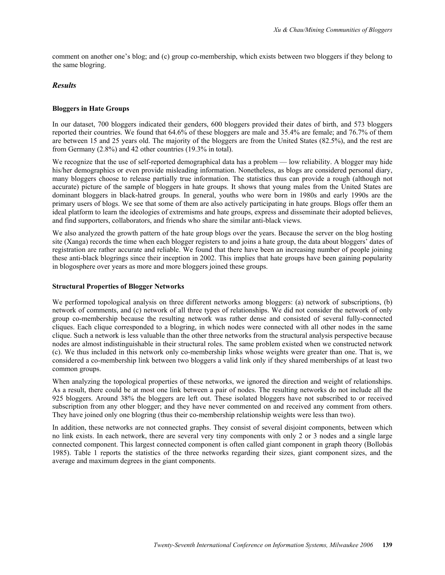comment on another one's blog; and (c) group co-membership, which exists between two bloggers if they belong to the same blogring.

### *Results*

#### **Bloggers in Hate Groups**

In our dataset, 700 bloggers indicated their genders, 600 bloggers provided their dates of birth, and 573 bloggers reported their countries. We found that 64.6% of these bloggers are male and 35.4% are female; and 76.7% of them are between 15 and 25 years old. The majority of the bloggers are from the United States (82.5%), and the rest are from Germany (2.8%) and 42 other countries (19.3% in total).

We recognize that the use of self-reported demographical data has a problem — low reliability. A blogger may hide his/her demographics or even provide misleading information. Nonetheless, as blogs are considered personal diary, many bloggers choose to release partially true information. The statistics thus can provide a rough (although not accurate) picture of the sample of bloggers in hate groups. It shows that young males from the United States are dominant bloggers in black-hatred groups. In general, youths who were born in 1980s and early 1990s are the primary users of blogs. We see that some of them are also actively participating in hate groups. Blogs offer them an ideal platform to learn the ideologies of extremisms and hate groups, express and disseminate their adopted believes, and find supporters, collaborators, and friends who share the similar anti-black views.

We also analyzed the growth pattern of the hate group blogs over the years. Because the server on the blog hosting site (Xanga) records the time when each blogger registers to and joins a hate group, the data about bloggers' dates of registration are rather accurate and reliable. We found that there have been an increasing number of people joining these anti-black blogrings since their inception in 2002. This implies that hate groups have been gaining popularity in blogosphere over years as more and more bloggers joined these groups.

#### **Structural Properties of Blogger Networks**

We performed topological analysis on three different networks among bloggers: (a) network of subscriptions, (b) network of comments, and (c) network of all three types of relationships. We did not consider the network of only group co-membership because the resulting network was rather dense and consisted of several fully-connected cliques. Each clique corresponded to a blogring, in which nodes were connected with all other nodes in the same clique. Such a network is less valuable than the other three networks from the structural analysis perspective because nodes are almost indistinguishable in their structural roles. The same problem existed when we constructed network (c). We thus included in this network only co-membership links whose weights were greater than one. That is, we considered a co-membership link between two bloggers a valid link only if they shared memberships of at least two common groups.

When analyzing the topological properties of these networks, we ignored the direction and weight of relationships. As a result, there could be at most one link between a pair of nodes. The resulting networks do not include all the 925 bloggers. Around 38% the bloggers are left out. These isolated bloggers have not subscribed to or received subscription from any other blogger; and they have never commented on and received any comment from others. They have joined only one blogring (thus their co-membership relationship weights were less than two).

In addition, these networks are not connected graphs. They consist of several disjoint components, between which no link exists. In each network, there are several very tiny components with only 2 or 3 nodes and a single large connected component. This largest connected component is often called giant component in graph theory (Bollobás 1985). Table 1 reports the statistics of the three networks regarding their sizes, giant component sizes, and the average and maximum degrees in the giant components.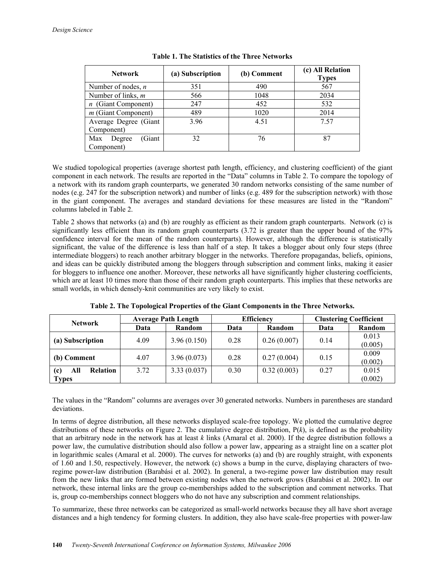| <b>Network</b>          | (a) Subscription | (b) Comment | (c) All Relation<br><b>Types</b> |  |
|-------------------------|------------------|-------------|----------------------------------|--|
| Number of nodes, $n$    | 351              | 490         | 567                              |  |
| Number of links, $m$    | 566              | 1048        | 2034                             |  |
| $n$ (Giant Component)   | 247              | 452         | 532                              |  |
| $m$ (Giant Component)   | 489              | 1020        | 2014                             |  |
| Average Degree (Giant   | 3.96             | 4.51        | 7.57                             |  |
| Component)              |                  |             |                                  |  |
| Giant)<br>Max<br>Degree | 32               | 76          | 87                               |  |
| Component)              |                  |             |                                  |  |

We studied topological properties (average shortest path length, efficiency, and clustering coefficient) of the giant component in each network. The results are reported in the "Data" columns in Table 2. To compare the topology of a network with its random graph counterparts, we generated 30 random networks consisting of the same number of nodes (e.g. 247 for the subscription network) and number of links (e.g. 489 for the subscription network) with those in the giant component. The averages and standard deviations for these measures are listed in the "Random" columns labeled in Table 2.

Table 2 shows that networks (a) and (b) are roughly as efficient as their random graph counterparts. Network (c) is significantly less efficient than its random graph counterparts (3.72 is greater than the upper bound of the 97% confidence interval for the mean of the random counterparts). However, although the difference is statistically significant, the value of the difference is less than half of a step. It takes a blogger about only four steps (three intermediate bloggers) to reach another arbitrary blogger in the networks. Therefore propagandas, beliefs, opinions, and ideas can be quickly distributed among the bloggers through subscription and comment links, making it easier for bloggers to influence one another. Moreover, these networks all have significantly higher clustering coefficients, which are at least 10 times more than those of their random graph counterparts. This implies that these networks are small worlds, in which densely-knit communities are very likely to exist.

| <b>Network</b>                | <b>Average Path Length</b> |             | <b>Efficiency</b> |             | <b>Clustering Coefficient</b> |         |
|-------------------------------|----------------------------|-------------|-------------------|-------------|-------------------------------|---------|
|                               | Data                       | Random      | Data              | Random      | Data                          | Random  |
| (a) Subscription              | 4.09                       | 3.96(0.150) | 0.28              | 0.26(0.007) | 0.14                          | 0.013   |
|                               |                            |             |                   |             |                               | (0.005) |
| 4.07<br>(b) Comment           |                            | 3.96(0.073) | 0.28              | 0.27(0.004) | 0.15                          | 0.009   |
|                               |                            |             |                   |             |                               | (0.002) |
| <b>Relation</b><br>All<br>(c) | 3.72                       | 3.33(0.037) | 0.30              | 0.32(0.003) | 0.27                          | 0.015   |
| <b>Types</b>                  |                            |             |                   |             |                               | (0.002) |

**Table 2. The Topological Properties of the Giant Components in the Three Networks.** 

The values in the "Random" columns are averages over 30 generated networks. Numbers in parentheses are standard deviations.

In terms of degree distribution, all these networks displayed scale-free topology. We plotted the cumulative degree distributions of these networks on Figure 2. The cumulative degree distribution,  $P(k)$ , is defined as the probability that an arbitrary node in the network has at least *k* links (Amaral et al. 2000). If the degree distribution follows a power law, the cumulative distribution should also follow a power law, appearing as a straight line on a scatter plot in logarithmic scales (Amaral et al. 2000). The curves for networks (a) and (b) are roughly straight, with exponents of 1.60 and 1.50, respectively. However, the network (c) shows a bump in the curve, displaying characters of tworegime power-law distribution (Barabási et al. 2002). In general, a two-regime power law distribution may result from the new links that are formed between existing nodes when the network grows (Barabási et al. 2002). In our network, these internal links are the group co-memberships added to the subscription and comment networks. That is, group co-memberships connect bloggers who do not have any subscription and comment relationships.

To summarize, these three networks can be categorized as small-world networks because they all have short average distances and a high tendency for forming clusters. In addition, they also have scale-free properties with power-law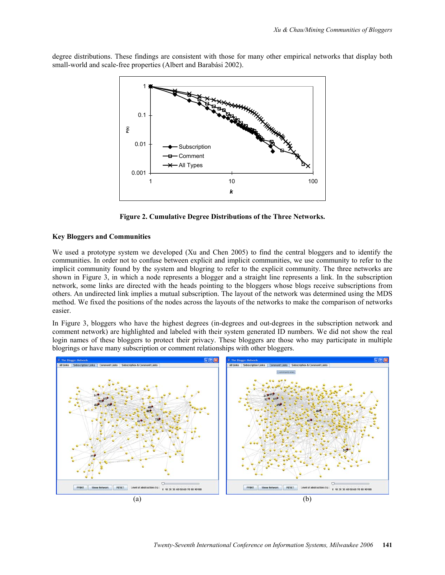degree distributions. These findings are consistent with those for many other empirical networks that display both small-world and scale-free properties (Albert and Barabási 2002).



**Figure 2. Cumulative Degree Distributions of the Three Networks.** 

## **Key Bloggers and Communities**

We used a prototype system we developed (Xu and Chen 2005) to find the central bloggers and to identify the communities. In order not to confuse between explicit and implicit communities, we use community to refer to the implicit community found by the system and blogring to refer to the explicit community. The three networks are shown in Figure 3, in which a node represents a blogger and a straight line represents a link. In the subscription network, some links are directed with the heads pointing to the bloggers whose blogs receive subscriptions from others. An undirected link implies a mutual subscription. The layout of the network was determined using the MDS method. We fixed the positions of the nodes across the layouts of the networks to make the comparison of networks easier.

In Figure 3, bloggers who have the highest degrees (in-degrees and out-degrees in the subscription network and comment network) are highlighted and labeled with their system generated ID numbers. We did not show the real login names of these bloggers to protect their privacy. These bloggers are those who may participate in multiple blogrings or have many subscription or comment relationships with other bloggers.

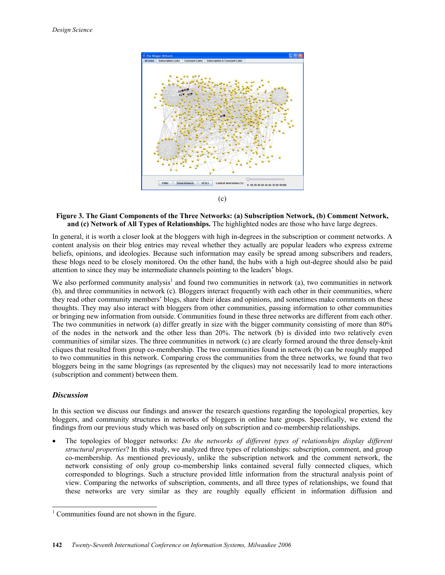

#### **Figure 3. The Giant Components of the Three Networks: (a) Subscription Network, (b) Comment Network, and (c) Network of All Types of Relationships.** The highlighted nodes are those who have large degrees.

In general, it is worth a closer look at the bloggers with high in-degrees in the subscription or comment networks. A content analysis on their blog entries may reveal whether they actually are popular leaders who express extreme beliefs, opinions, and ideologies. Because such information may easily be spread among subscribers and readers, these blogs need to be closely monitored. On the other hand, the hubs with a high out-degree should also be paid attention to since they may be intermediate channels pointing to the leaders' blogs.

We also performed community analysis<sup>1</sup> and found two communities in network (a), two communities in network (b), and three communities in network (c). Bloggers interact frequently with each other in their communities, where they read other community members' blogs, share their ideas and opinions, and sometimes make comments on these thoughts. They may also interact with bloggers from other communities, passing information to other communities or bringing new information from outside. Communities found in these three networks are different from each other. The two communities in network (a) differ greatly in size with the bigger community consisting of more than 80% of the nodes in the network and the other less than 20%. The network (b) is divided into two relatively even communities of similar sizes. The three communities in network (c) are clearly formed around the three densely-knit cliques that resulted from group co-membership. The two communities found in network (b) can be roughly mapped to two communities in this network. Comparing cross the communities from the three networks, we found that two bloggers being in the same blogrings (as represented by the cliques) may not necessarily lead to more interactions (subscription and comment) between them.

## *Discussion*

In this section we discuss our findings and answer the research questions regarding the topological properties, key bloggers, and community structures in networks of bloggers in online hate groups. Specifically, we extend the findings from our previous study which was based only on subscription and co-membership relationships.

• The topologies of blogger networks: *Do the networks of different types of relationships display different structural properties*? In this study, we analyzed three types of relationships: subscription, comment, and group co-membership. As mentioned previously, unlike the subscription network and the comment network, the network consisting of only group co-membership links contained several fully connected cliques, which corresponded to blogrings. Such a structure provided little information from the structural analysis point of view. Comparing the networks of subscription, comments, and all three types of relationships, we found that these networks are very similar as they are roughly equally efficient in information diffusion and

 $<sup>1</sup>$  Communities found are not shown in the figure.</sup>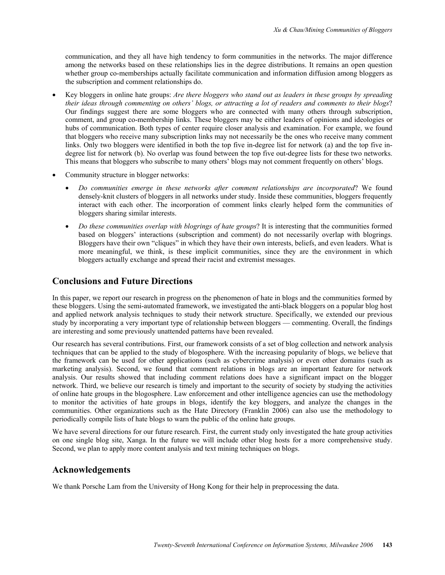communication, and they all have high tendency to form communities in the networks. The major difference among the networks based on these relationships lies in the degree distributions. It remains an open question whether group co-memberships actually facilitate communication and information diffusion among bloggers as the subscription and comment relationships do.

- Key bloggers in online hate groups: *Are there bloggers who stand out as leaders in these groups by spreading their ideas through commenting on others' blogs, or attracting a lot of readers and comments to their blogs*? Our findings suggest there are some bloggers who are connected with many others through subscription, comment, and group co-membership links. These bloggers may be either leaders of opinions and ideologies or hubs of communication. Both types of center require closer analysis and examination. For example, we found that bloggers who receive many subscription links may not necessarily be the ones who receive many comment links. Only two bloggers were identified in both the top five in-degree list for network (a) and the top five indegree list for network (b). No overlap was found between the top five out-degree lists for these two networks. This means that bloggers who subscribe to many others' blogs may not comment frequently on others' blogs.
- Community structure in blogger networks:
	- *Do communities emerge in these networks after comment relationships are incorporated*? We found densely-knit clusters of bloggers in all networks under study. Inside these communities, bloggers frequently interact with each other. The incorporation of comment links clearly helped form the communities of bloggers sharing similar interests.
	- *Do these communities overlap with blogrings of hate groups*? It is interesting that the communities formed based on bloggers' interactions (subscription and comment) do not necessarily overlap with blogrings. Bloggers have their own "cliques" in which they have their own interests, beliefs, and even leaders. What is more meaningful, we think, is these implicit communities, since they are the environment in which bloggers actually exchange and spread their racist and extremist messages.

## **Conclusions and Future Directions**

In this paper, we report our research in progress on the phenomenon of hate in blogs and the communities formed by these bloggers. Using the semi-automated framework, we investigated the anti-black bloggers on a popular blog host and applied network analysis techniques to study their network structure. Specifically, we extended our previous study by incorporating a very important type of relationship between bloggers — commenting. Overall, the findings are interesting and some previously unattended patterns have been revealed.

Our research has several contributions. First, our framework consists of a set of blog collection and network analysis techniques that can be applied to the study of blogosphere. With the increasing popularity of blogs, we believe that the framework can be used for other applications (such as cybercrime analysis) or even other domains (such as marketing analysis). Second, we found that comment relations in blogs are an important feature for network analysis. Our results showed that including comment relations does have a significant impact on the blogger network. Third, we believe our research is timely and important to the security of society by studying the activities of online hate groups in the blogosphere. Law enforcement and other intelligence agencies can use the methodology to monitor the activities of hate groups in blogs, identify the key bloggers, and analyze the changes in the communities. Other organizations such as the Hate Directory (Franklin 2006) can also use the methodology to periodically compile lists of hate blogs to warn the public of the online hate groups.

We have several directions for our future research. First, the current study only investigated the hate group activities on one single blog site, Xanga. In the future we will include other blog hosts for a more comprehensive study. Second, we plan to apply more content analysis and text mining techniques on blogs.

## **Acknowledgements**

We thank Porsche Lam from the University of Hong Kong for their help in preprocessing the data.